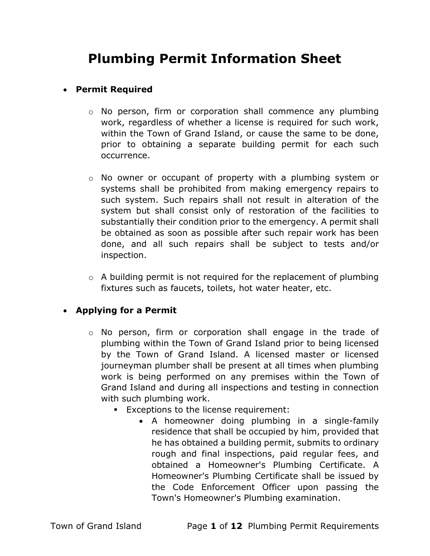# Plumbing Permit Information Sheet

#### Permit Required

- o No person, firm or corporation shall commence any plumbing work, regardless of whether a license is required for such work, within the Town of Grand Island, or cause the same to be done, prior to obtaining a separate building permit for each such occurrence.
- o No owner or occupant of property with a plumbing system or systems shall be prohibited from making emergency repairs to such system. Such repairs shall not result in alteration of the system but shall consist only of restoration of the facilities to substantially their condition prior to the emergency. A permit shall be obtained as soon as possible after such repair work has been done, and all such repairs shall be subject to tests and/or inspection.
- $\circ$  A building permit is not required for the replacement of plumbing fixtures such as faucets, toilets, hot water heater, etc.

## Applying for a Permit

- o No person, firm or corporation shall engage in the trade of plumbing within the Town of Grand Island prior to being licensed by the Town of Grand Island. A licensed master or licensed journeyman plumber shall be present at all times when plumbing work is being performed on any premises within the Town of Grand Island and during all inspections and testing in connection with such plumbing work.
	- **Exceptions to the license requirement:** 
		- A homeowner doing plumbing in a single-family residence that shall be occupied by him, provided that he has obtained a building permit, submits to ordinary rough and final inspections, paid regular fees, and obtained a Homeowner's Plumbing Certificate. A Homeowner's Plumbing Certificate shall be issued by the Code Enforcement Officer upon passing the Town's Homeowner's Plumbing examination.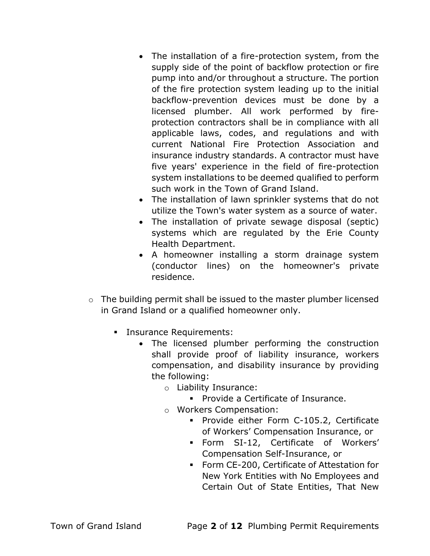- The installation of a fire-protection system, from the supply side of the point of backflow protection or fire pump into and/or throughout a structure. The portion of the fire protection system leading up to the initial backflow-prevention devices must be done by a licensed plumber. All work performed by fireprotection contractors shall be in compliance with all applicable laws, codes, and regulations and with current National Fire Protection Association and insurance industry standards. A contractor must have five years' experience in the field of fire-protection system installations to be deemed qualified to perform such work in the Town of Grand Island.
- The installation of lawn sprinkler systems that do not utilize the Town's water system as a source of water.
- The installation of private sewage disposal (septic) systems which are regulated by the Erie County Health Department.
- A homeowner installing a storm drainage system (conductor lines) on the homeowner's private residence.
- o The building permit shall be issued to the master plumber licensed in Grand Island or a qualified homeowner only.
	- **Insurance Requirements:** 
		- The licensed plumber performing the construction shall provide proof of liability insurance, workers compensation, and disability insurance by providing the following:
			- o Liability Insurance:
				- **Provide a Certificate of Insurance.**
			- o Workers Compensation:
				- **Provide either Form C-105.2, Certificate** of Workers' Compensation Insurance, or
				- Form SI-12, Certificate of Workers' Compensation Self-Insurance, or
				- Form CE-200, Certificate of Attestation for New York Entities with No Employees and Certain Out of State Entities, That New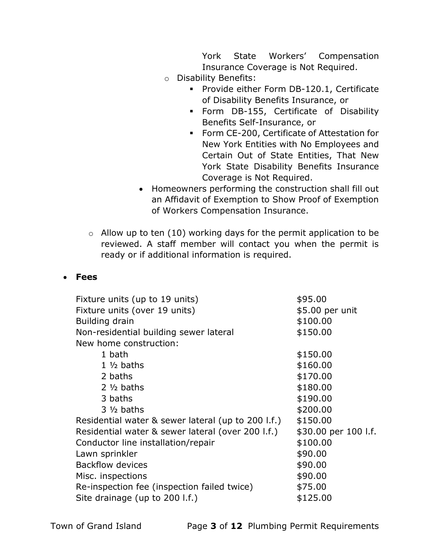York State Workers' Compensation Insurance Coverage is Not Required.

- o Disability Benefits:
	- **Provide either Form DB-120.1, Certificate** of Disability Benefits Insurance, or
	- Form DB-155, Certificate of Disability Benefits Self-Insurance, or
	- **Form CE-200, Certificate of Attestation for** New York Entities with No Employees and Certain Out of State Entities, That New York State Disability Benefits Insurance Coverage is Not Required.
- Homeowners performing the construction shall fill out an Affidavit of Exemption to Show Proof of Exemption of Workers Compensation Insurance.
- $\circ$  Allow up to ten (10) working days for the permit application to be reviewed. A staff member will contact you when the permit is ready or if additional information is required.

### Fees

| Fixture units (up to 19 units)                     | \$95.00              |
|----------------------------------------------------|----------------------|
| Fixture units (over 19 units)                      | \$5.00 per unit      |
| Building drain                                     | \$100.00             |
| Non-residential building sewer lateral             | \$150.00             |
| New home construction:                             |                      |
| 1 bath                                             | \$150.00             |
| $1\frac{1}{2}$ baths                               | \$160.00             |
| 2 baths                                            | \$170.00             |
| $2\frac{1}{2}$ baths                               | \$180.00             |
| 3 baths                                            | \$190.00             |
| $3\frac{1}{2}$ baths                               | \$200.00             |
| Residential water & sewer lateral (up to 200 l.f.) | \$150.00             |
| Residential water & sewer lateral (over 200 l.f.)  | \$30.00 per 100 l.f. |
| Conductor line installation/repair                 | \$100.00             |
| Lawn sprinkler                                     | \$90.00              |
| <b>Backflow devices</b>                            | \$90.00              |
| Misc. inspections                                  | \$90.00              |
| Re-inspection fee (inspection failed twice)        | \$75.00              |
| Site drainage (up to 200 l.f.)                     | \$125.00             |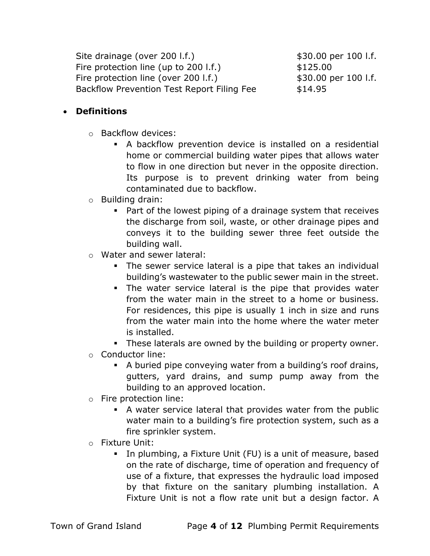Site drainage (over 200 l.f.)  $$30.00 \text{ per } 100 \text{ l.f.}$ Fire protection line (up to  $200$  l.f.)  $$125.00$ Fire protection line (over 200 l.f.)  $$30.00$  per 100 l.f. Backflow Prevention Test Report Filing Fee \$14.95

### Definitions

- o Backflow devices:
	- A backflow prevention device is installed on a residential home or commercial building water pipes that allows water to flow in one direction but never in the opposite direction. Its purpose is to prevent drinking water from being contaminated due to backflow.
- o Building drain:
	- Part of the lowest piping of a drainage system that receives the discharge from soil, waste, or other drainage pipes and conveys it to the building sewer three feet outside the building wall.
- o Water and sewer lateral:
	- The sewer service lateral is a pipe that takes an individual building's wastewater to the public sewer main in the street.
	- The water service lateral is the pipe that provides water from the water main in the street to a home or business. For residences, this pipe is usually 1 inch in size and runs from the water main into the home where the water meter is installed.
	- **These laterals are owned by the building or property owner.**
- o Conductor line:
	- A buried pipe conveying water from a building's roof drains, gutters, yard drains, and sump pump away from the building to an approved location.
- o Fire protection line:
	- A water service lateral that provides water from the public water main to a building's fire protection system, such as a fire sprinkler system.
- o Fixture Unit:
	- In plumbing, a Fixture Unit (FU) is a unit of measure, based on the rate of discharge, time of operation and frequency of use of a fixture, that expresses the hydraulic load imposed by that fixture on the sanitary plumbing installation. A Fixture Unit is not a flow rate unit but a design factor. A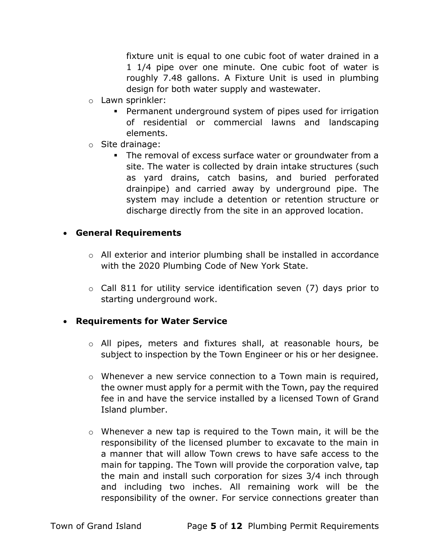fixture unit is equal to one cubic foot of water drained in a 1 1/4 pipe over one minute. One cubic foot of water is roughly 7.48 gallons. A Fixture Unit is used in plumbing design for both water supply and wastewater.

- o Lawn sprinkler:
	- Permanent underground system of pipes used for irrigation of residential or commercial lawns and landscaping elements.
- o Site drainage:
	- The removal of excess surface water or groundwater from a site. The water is collected by drain intake structures (such as yard drains, catch basins, and buried perforated drainpipe) and carried away by underground pipe. The system may include a detention or retention structure or discharge directly from the site in an approved location.

#### General Requirements

- o All exterior and interior plumbing shall be installed in accordance with the 2020 Plumbing Code of New York State.
- $\circ$  Call 811 for utility service identification seven (7) days prior to starting underground work.

### Requirements for Water Service

- o All pipes, meters and fixtures shall, at reasonable hours, be subject to inspection by the Town Engineer or his or her designee.
- $\circ$  Whenever a new service connection to a Town main is required, the owner must apply for a permit with the Town, pay the required fee in and have the service installed by a licensed Town of Grand Island plumber.
- o Whenever a new tap is required to the Town main, it will be the responsibility of the licensed plumber to excavate to the main in a manner that will allow Town crews to have safe access to the main for tapping. The Town will provide the corporation valve, tap the main and install such corporation for sizes 3/4 inch through and including two inches. All remaining work will be the responsibility of the owner. For service connections greater than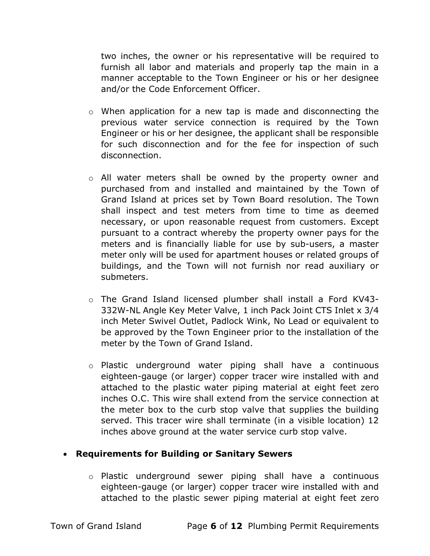two inches, the owner or his representative will be required to furnish all labor and materials and properly tap the main in a manner acceptable to the Town Engineer or his or her designee and/or the Code Enforcement Officer.

- o When application for a new tap is made and disconnecting the previous water service connection is required by the Town Engineer or his or her designee, the applicant shall be responsible for such disconnection and for the fee for inspection of such disconnection.
- o All water meters shall be owned by the property owner and purchased from and installed and maintained by the Town of Grand Island at prices set by Town Board resolution. The Town shall inspect and test meters from time to time as deemed necessary, or upon reasonable request from customers. Except pursuant to a contract whereby the property owner pays for the meters and is financially liable for use by sub-users, a master meter only will be used for apartment houses or related groups of buildings, and the Town will not furnish nor read auxiliary or submeters.
- o The Grand Island licensed plumber shall install a Ford KV43- 332W-NL Angle Key Meter Valve, 1 inch Pack Joint CTS Inlet x 3/4 inch Meter Swivel Outlet, Padlock Wink, No Lead or equivalent to be approved by the Town Engineer prior to the installation of the meter by the Town of Grand Island.
- o Plastic underground water piping shall have a continuous eighteen-gauge (or larger) copper tracer wire installed with and attached to the plastic water piping material at eight feet zero inches O.C. This wire shall extend from the service connection at the meter box to the curb stop valve that supplies the building served. This tracer wire shall terminate (in a visible location) 12 inches above ground at the water service curb stop valve.

### Requirements for Building or Sanitary Sewers

o Plastic underground sewer piping shall have a continuous eighteen-gauge (or larger) copper tracer wire installed with and attached to the plastic sewer piping material at eight feet zero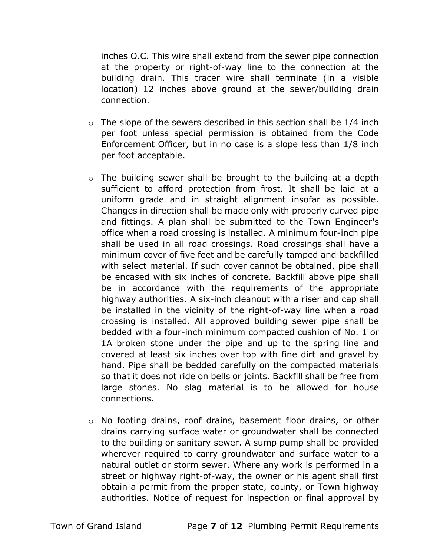inches O.C. This wire shall extend from the sewer pipe connection at the property or right-of-way line to the connection at the building drain. This tracer wire shall terminate (in a visible location) 12 inches above ground at the sewer/building drain connection.

- $\circ$  The slope of the sewers described in this section shall be 1/4 inch per foot unless special permission is obtained from the Code Enforcement Officer, but in no case is a slope less than 1/8 inch per foot acceptable.
- o The building sewer shall be brought to the building at a depth sufficient to afford protection from frost. It shall be laid at a uniform grade and in straight alignment insofar as possible. Changes in direction shall be made only with properly curved pipe and fittings. A plan shall be submitted to the Town Engineer's office when a road crossing is installed. A minimum four-inch pipe shall be used in all road crossings. Road crossings shall have a minimum cover of five feet and be carefully tamped and backfilled with select material. If such cover cannot be obtained, pipe shall be encased with six inches of concrete. Backfill above pipe shall be in accordance with the requirements of the appropriate highway authorities. A six-inch cleanout with a riser and cap shall be installed in the vicinity of the right-of-way line when a road crossing is installed. All approved building sewer pipe shall be bedded with a four-inch minimum compacted cushion of No. 1 or 1A broken stone under the pipe and up to the spring line and covered at least six inches over top with fine dirt and gravel by hand. Pipe shall be bedded carefully on the compacted materials so that it does not ride on bells or joints. Backfill shall be free from large stones. No slag material is to be allowed for house connections.
- o No footing drains, roof drains, basement floor drains, or other drains carrying surface water or groundwater shall be connected to the building or sanitary sewer. A sump pump shall be provided wherever required to carry groundwater and surface water to a natural outlet or storm sewer. Where any work is performed in a street or highway right-of-way, the owner or his agent shall first obtain a permit from the proper state, county, or Town highway authorities. Notice of request for inspection or final approval by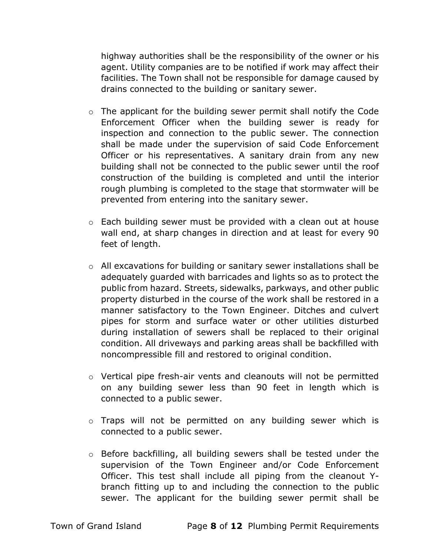highway authorities shall be the responsibility of the owner or his agent. Utility companies are to be notified if work may affect their facilities. The Town shall not be responsible for damage caused by drains connected to the building or sanitary sewer.

- o The applicant for the building sewer permit shall notify the Code Enforcement Officer when the building sewer is ready for inspection and connection to the public sewer. The connection shall be made under the supervision of said Code Enforcement Officer or his representatives. A sanitary drain from any new building shall not be connected to the public sewer until the roof construction of the building is completed and until the interior rough plumbing is completed to the stage that stormwater will be prevented from entering into the sanitary sewer.
- o Each building sewer must be provided with a clean out at house wall end, at sharp changes in direction and at least for every 90 feet of length.
- o All excavations for building or sanitary sewer installations shall be adequately guarded with barricades and lights so as to protect the public from hazard. Streets, sidewalks, parkways, and other public property disturbed in the course of the work shall be restored in a manner satisfactory to the Town Engineer. Ditches and culvert pipes for storm and surface water or other utilities disturbed during installation of sewers shall be replaced to their original condition. All driveways and parking areas shall be backfilled with noncompressible fill and restored to original condition.
- o Vertical pipe fresh-air vents and cleanouts will not be permitted on any building sewer less than 90 feet in length which is connected to a public sewer.
- o Traps will not be permitted on any building sewer which is connected to a public sewer.
- o Before backfilling, all building sewers shall be tested under the supervision of the Town Engineer and/or Code Enforcement Officer. This test shall include all piping from the cleanout Ybranch fitting up to and including the connection to the public sewer. The applicant for the building sewer permit shall be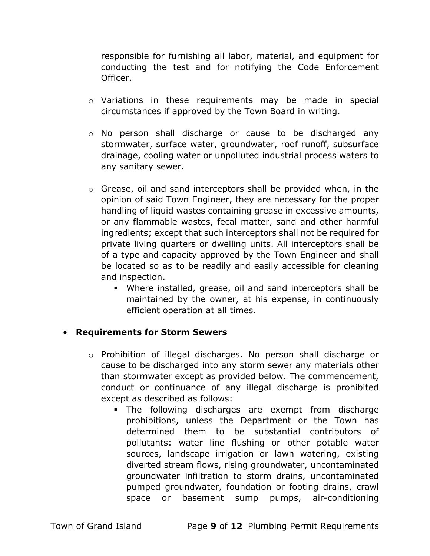responsible for furnishing all labor, material, and equipment for conducting the test and for notifying the Code Enforcement Officer.

- o Variations in these requirements may be made in special circumstances if approved by the Town Board in writing.
- o No person shall discharge or cause to be discharged any stormwater, surface water, groundwater, roof runoff, subsurface drainage, cooling water or unpolluted industrial process waters to any sanitary sewer.
- o Grease, oil and sand interceptors shall be provided when, in the opinion of said Town Engineer, they are necessary for the proper handling of liquid wastes containing grease in excessive amounts, or any flammable wastes, fecal matter, sand and other harmful ingredients; except that such interceptors shall not be required for private living quarters or dwelling units. All interceptors shall be of a type and capacity approved by the Town Engineer and shall be located so as to be readily and easily accessible for cleaning and inspection.
	- Where installed, grease, oil and sand interceptors shall be maintained by the owner, at his expense, in continuously efficient operation at all times.

#### Requirements for Storm Sewers

- o Prohibition of illegal discharges. No person shall discharge or cause to be discharged into any storm sewer any materials other than stormwater except as provided below. The commencement, conduct or continuance of any illegal discharge is prohibited except as described as follows:
	- The following discharges are exempt from discharge prohibitions, unless the Department or the Town has determined them to be substantial contributors of pollutants: water line flushing or other potable water sources, landscape irrigation or lawn watering, existing diverted stream flows, rising groundwater, uncontaminated groundwater infiltration to storm drains, uncontaminated pumped groundwater, foundation or footing drains, crawl space or basement sump pumps, air-conditioning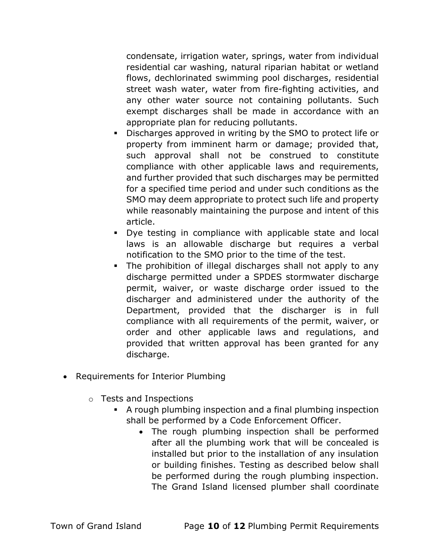condensate, irrigation water, springs, water from individual residential car washing, natural riparian habitat or wetland flows, dechlorinated swimming pool discharges, residential street wash water, water from fire-fighting activities, and any other water source not containing pollutants. Such exempt discharges shall be made in accordance with an appropriate plan for reducing pollutants.

- Discharges approved in writing by the SMO to protect life or property from imminent harm or damage; provided that, such approval shall not be construed to constitute compliance with other applicable laws and requirements, and further provided that such discharges may be permitted for a specified time period and under such conditions as the SMO may deem appropriate to protect such life and property while reasonably maintaining the purpose and intent of this article.
- Dye testing in compliance with applicable state and local laws is an allowable discharge but requires a verbal notification to the SMO prior to the time of the test.
- The prohibition of illegal discharges shall not apply to any discharge permitted under a SPDES stormwater discharge permit, waiver, or waste discharge order issued to the discharger and administered under the authority of the Department, provided that the discharger is in full compliance with all requirements of the permit, waiver, or order and other applicable laws and regulations, and provided that written approval has been granted for any discharge.
- Requirements for Interior Plumbing
	- o Tests and Inspections
		- A rough plumbing inspection and a final plumbing inspection shall be performed by a Code Enforcement Officer.
			- The rough plumbing inspection shall be performed after all the plumbing work that will be concealed is installed but prior to the installation of any insulation or building finishes. Testing as described below shall be performed during the rough plumbing inspection. The Grand Island licensed plumber shall coordinate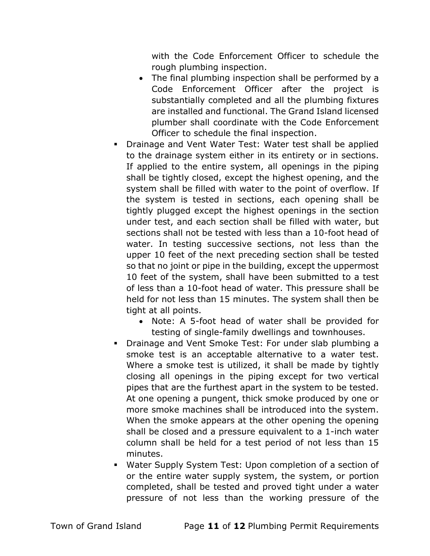with the Code Enforcement Officer to schedule the rough plumbing inspection.

- The final plumbing inspection shall be performed by a Code Enforcement Officer after the project is substantially completed and all the plumbing fixtures are installed and functional. The Grand Island licensed plumber shall coordinate with the Code Enforcement Officer to schedule the final inspection.
- Drainage and Vent Water Test: Water test shall be applied to the drainage system either in its entirety or in sections. If applied to the entire system, all openings in the piping shall be tightly closed, except the highest opening, and the system shall be filled with water to the point of overflow. If the system is tested in sections, each opening shall be tightly plugged except the highest openings in the section under test, and each section shall be filled with water, but sections shall not be tested with less than a 10-foot head of water. In testing successive sections, not less than the upper 10 feet of the next preceding section shall be tested so that no joint or pipe in the building, except the uppermost 10 feet of the system, shall have been submitted to a test of less than a 10-foot head of water. This pressure shall be held for not less than 15 minutes. The system shall then be tight at all points.
	- Note: A 5-foot head of water shall be provided for testing of single-family dwellings and townhouses.
- **•** Drainage and Vent Smoke Test: For under slab plumbing a smoke test is an acceptable alternative to a water test. Where a smoke test is utilized, it shall be made by tightly closing all openings in the piping except for two vertical pipes that are the furthest apart in the system to be tested. At one opening a pungent, thick smoke produced by one or more smoke machines shall be introduced into the system. When the smoke appears at the other opening the opening shall be closed and a pressure equivalent to a 1-inch water column shall be held for a test period of not less than 15 minutes.
- Water Supply System Test: Upon completion of a section of or the entire water supply system, the system, or portion completed, shall be tested and proved tight under a water pressure of not less than the working pressure of the